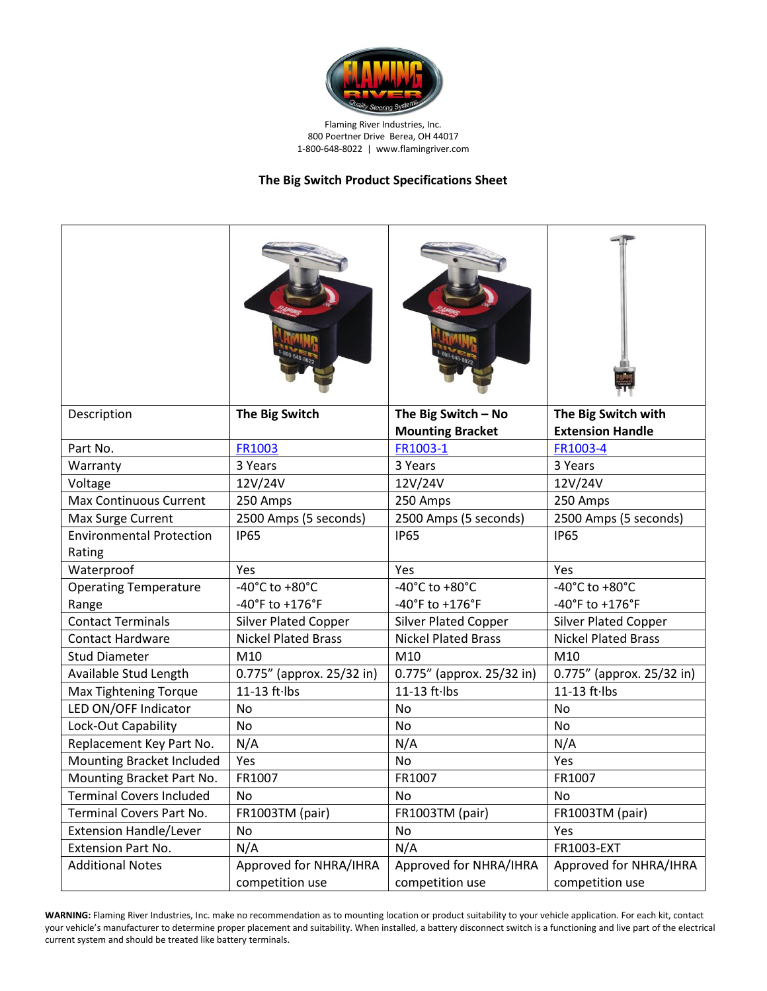

Flaming River Industries, Inc. 800 Poertner Drive Berea, OH 44017 1-800-648-8022 | www.flamingriver.com

## **The Big Switch Product Specifications Sheet**

| Description                               | The Big Switch              | The Big Switch - No         | The Big Switch with                  |
|-------------------------------------------|-----------------------------|-----------------------------|--------------------------------------|
|                                           |                             | <b>Mounting Bracket</b>     | <b>Extension Handle</b>              |
| Part No.                                  | FR1003                      | FR1003-1                    | FR1003-4                             |
| Warranty                                  | 3 Years                     | 3 Years                     | 3 Years                              |
| Voltage                                   | 12V/24V                     | 12V/24V                     | 12V/24V                              |
| <b>Max Continuous Current</b>             | 250 Amps                    | 250 Amps                    | 250 Amps                             |
| Max Surge Current                         | 2500 Amps (5 seconds)       | 2500 Amps (5 seconds)       | 2500 Amps (5 seconds)                |
| <b>Environmental Protection</b><br>Rating | <b>IP65</b>                 | <b>IP65</b>                 | <b>IP65</b>                          |
| Waterproof                                | Yes                         | Yes                         | Yes                                  |
| <b>Operating Temperature</b>              | -40°C to +80°C              | -40°C to +80°C              | -40 $^{\circ}$ C to +80 $^{\circ}$ C |
| Range                                     | -40°F to +176°F             | -40°F to +176°F             | -40°F to +176°F                      |
| <b>Contact Terminals</b>                  | <b>Silver Plated Copper</b> | <b>Silver Plated Copper</b> | <b>Silver Plated Copper</b>          |
| <b>Contact Hardware</b>                   | <b>Nickel Plated Brass</b>  | <b>Nickel Plated Brass</b>  | <b>Nickel Plated Brass</b>           |
| <b>Stud Diameter</b>                      | M10                         | M10                         | M10                                  |
| Available Stud Length                     | 0.775" (approx. 25/32 in)   | 0.775" (approx. 25/32 in)   | 0.775" (approx. 25/32 in)            |
| Max Tightening Torque                     | 11-13 ft·lbs                | 11-13 ft·lbs                | 11-13 ft lbs                         |
| LED ON/OFF Indicator                      | <b>No</b>                   | <b>No</b>                   | <b>No</b>                            |
| Lock-Out Capability                       | <b>No</b>                   | <b>No</b>                   | No                                   |
| Replacement Key Part No.                  | N/A                         | N/A                         | N/A                                  |
| Mounting Bracket Included                 | Yes                         | No                          | Yes                                  |
| Mounting Bracket Part No.                 | FR1007                      | FR1007                      | FR1007                               |
| <b>Terminal Covers Included</b>           | No                          | No                          | No                                   |
| Terminal Covers Part No.                  | FR1003TM (pair)             | FR1003TM (pair)             | FR1003TM (pair)                      |
| <b>Extension Handle/Lever</b>             | No                          | No                          | Yes                                  |
| Extension Part No.                        | N/A                         | N/A                         | FR1003-EXT                           |
| <b>Additional Notes</b>                   | Approved for NHRA/IHRA      | Approved for NHRA/IHRA      | Approved for NHRA/IHRA               |
|                                           | competition use             | competition use             | competition use                      |

**WARNING:** Flaming River Industries, Inc. make no recommendation as to mounting location or product suitability to your vehicle application. For each kit, contact your vehicle's manufacturer to determine proper placement and suitability. When installed, a battery disconnect switch is a functioning and live part of the electrical current system and should be treated like battery terminals.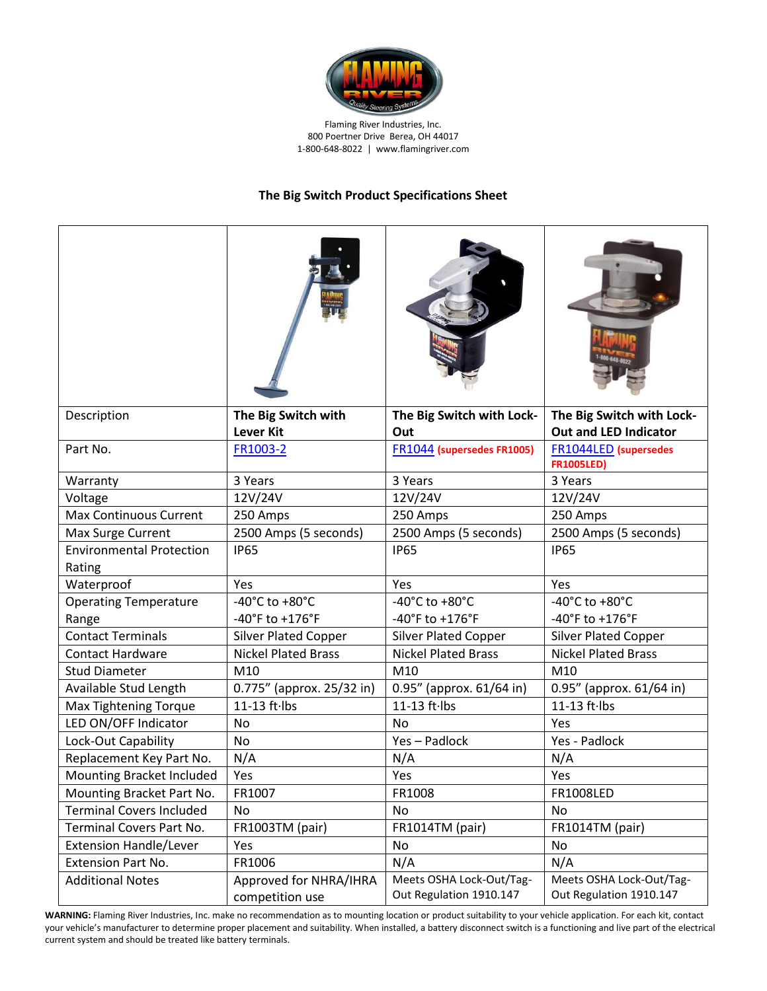

Flaming River Industries, Inc. 800 Poertner Drive Berea, OH 44017 1-800-648-8022 | www.flamingriver.com

## **The Big Switch Product Specifications Sheet**

| Description                               | The Big Switch with<br><b>Lever Kit</b>   | The Big Switch with Lock-<br>Out                    | The Big Switch with Lock-<br><b>Out and LED Indicator</b> |
|-------------------------------------------|-------------------------------------------|-----------------------------------------------------|-----------------------------------------------------------|
| Part No.                                  | FR1003-2                                  | FR1044 (supersedes FR1005)                          | FR1044LED (supersedes<br><b>FR1005LED)</b>                |
| Warranty                                  | 3 Years                                   | 3 Years                                             | 3 Years                                                   |
| Voltage                                   | 12V/24V                                   | 12V/24V                                             | 12V/24V                                                   |
| <b>Max Continuous Current</b>             | 250 Amps                                  | 250 Amps                                            | 250 Amps                                                  |
| Max Surge Current                         | 2500 Amps (5 seconds)                     | 2500 Amps (5 seconds)                               | 2500 Amps (5 seconds)                                     |
| <b>Environmental Protection</b><br>Rating | <b>IP65</b>                               | <b>IP65</b>                                         | <b>IP65</b>                                               |
| Waterproof                                | Yes                                       | Yes                                                 | Yes                                                       |
| <b>Operating Temperature</b>              | -40°C to +80°C                            | -40°C to +80°C                                      | -40°C to +80°C                                            |
| Range                                     | -40°F to +176°F                           | -40°F to +176°F                                     | -40°F to +176°F                                           |
| <b>Contact Terminals</b>                  | <b>Silver Plated Copper</b>               | <b>Silver Plated Copper</b>                         | <b>Silver Plated Copper</b>                               |
| <b>Contact Hardware</b>                   | <b>Nickel Plated Brass</b>                | <b>Nickel Plated Brass</b>                          | <b>Nickel Plated Brass</b>                                |
| <b>Stud Diameter</b>                      | M10                                       | M10                                                 | M10                                                       |
| Available Stud Length                     | 0.775" (approx. 25/32 in)                 | 0.95" (approx. 61/64 in)                            | 0.95" (approx. 61/64 in)                                  |
| Max Tightening Torque                     | 11-13 ft lbs                              | 11-13 ft·lbs                                        | $11-13$ ft $\cdot$ lbs                                    |
| LED ON/OFF Indicator                      | No                                        | No                                                  | Yes                                                       |
| Lock-Out Capability                       | No                                        | Yes-Padlock                                         | Yes - Padlock                                             |
| Replacement Key Part No.                  | N/A                                       | N/A                                                 | N/A                                                       |
| Mounting Bracket Included                 | Yes                                       | Yes                                                 | Yes                                                       |
| Mounting Bracket Part No.                 | FR1007                                    | FR1008                                              | <b>FR1008LED</b>                                          |
| <b>Terminal Covers Included</b>           | <b>No</b>                                 | <b>No</b>                                           | No                                                        |
| Terminal Covers Part No.                  | FR1003TM (pair)                           | FR1014TM (pair)                                     | FR1014TM (pair)                                           |
| <b>Extension Handle/Lever</b>             | Yes                                       | No                                                  | No                                                        |
| <b>Extension Part No.</b>                 | FR1006                                    | N/A                                                 | N/A                                                       |
| <b>Additional Notes</b>                   | Approved for NHRA/IHRA<br>competition use | Meets OSHA Lock-Out/Tag-<br>Out Regulation 1910.147 | Meets OSHA Lock-Out/Tag-<br>Out Regulation 1910.147       |

**WARNING:** Flaming River Industries, Inc. make no recommendation as to mounting location or product suitability to your vehicle application. For each kit, contact your vehicle's manufacturer to determine proper placement and suitability. When installed, a battery disconnect switch is a functioning and live part of the electrical current system and should be treated like battery terminals.